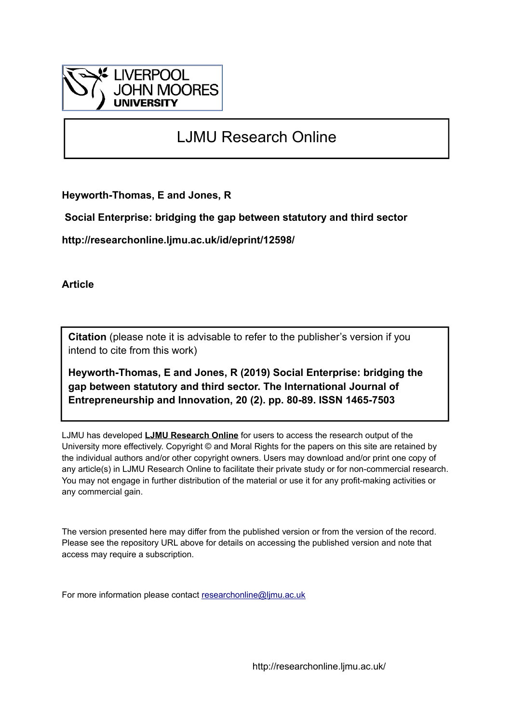

# LJMU Research Online

**Heyworth-Thomas, E and Jones, R**

 **Social Enterprise: bridging the gap between statutory and third sector**

**http://researchonline.ljmu.ac.uk/id/eprint/12598/**

**Article**

**Citation** (please note it is advisable to refer to the publisher's version if you intend to cite from this work)

**Heyworth-Thomas, E and Jones, R (2019) Social Enterprise: bridging the gap between statutory and third sector. The International Journal of Entrepreneurship and Innovation, 20 (2). pp. 80-89. ISSN 1465-7503** 

LJMU has developed **[LJMU Research Online](http://researchonline.ljmu.ac.uk/)** for users to access the research output of the University more effectively. Copyright © and Moral Rights for the papers on this site are retained by the individual authors and/or other copyright owners. Users may download and/or print one copy of any article(s) in LJMU Research Online to facilitate their private study or for non-commercial research. You may not engage in further distribution of the material or use it for any profit-making activities or any commercial gain.

The version presented here may differ from the published version or from the version of the record. Please see the repository URL above for details on accessing the published version and note that access may require a subscription.

For more information please contact [researchonline@ljmu.ac.uk](mailto:researchonline@ljmu.ac.uk)

http://researchonline.ljmu.ac.uk/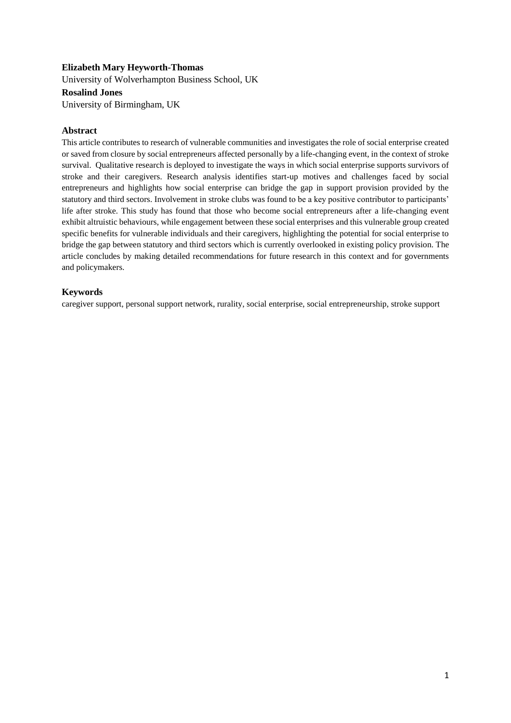# **Elizabeth Mary Heyworth-Thomas**

University of Wolverhampton Business School, UK **Rosalind Jones** University of Birmingham, UK

# **Abstract**

This article contributes to research of vulnerable communities and investigates the role of social enterprise created or saved from closure by social entrepreneurs affected personally by a life-changing event, in the context of stroke survival. Qualitative research is deployed to investigate the ways in which social enterprise supports survivors of stroke and their caregivers. Research analysis identifies start-up motives and challenges faced by social entrepreneurs and highlights how social enterprise can bridge the gap in support provision provided by the statutory and third sectors. Involvement in stroke clubs was found to be a key positive contributor to participants' life after stroke. This study has found that those who become social entrepreneurs after a life-changing event exhibit altruistic behaviours, while engagement between these social enterprises and this vulnerable group created specific benefits for vulnerable individuals and their caregivers, highlighting the potential for social enterprise to bridge the gap between statutory and third sectors which is currently overlooked in existing policy provision. The article concludes by making detailed recommendations for future research in this context and for governments and policymakers.

# **Keywords**

caregiver support, personal support network, rurality, social enterprise, social entrepreneurship, stroke support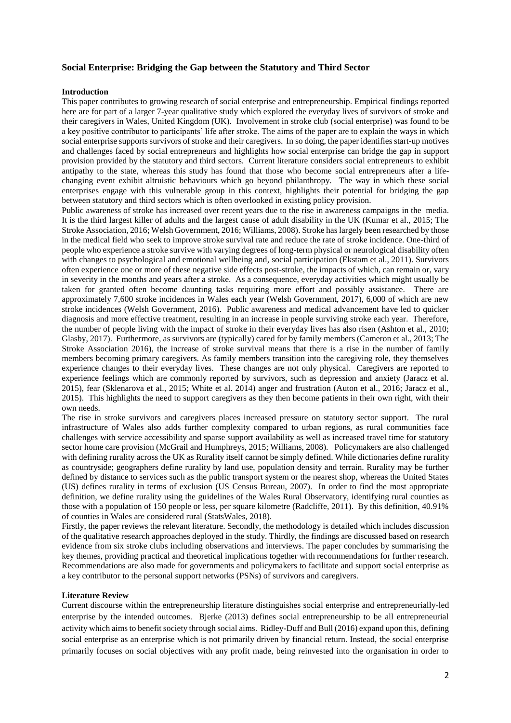# **Social Enterprise: Bridging the Gap between the Statutory and Third Sector**

# **Introduction**

This paper contributes to growing research of social enterprise and entrepreneurship. Empirical findings reported here are for part of a larger 7-year qualitative study which explored the everyday lives of survivors of stroke and their caregivers in Wales, United Kingdom (UK). Involvement in stroke club (social enterprise) was found to be a key positive contributor to participants' life after stroke. The aims of the paper are to explain the ways in which social enterprise supports survivors of stroke and their caregivers. In so doing, the paper identifies start-up motives and challenges faced by social entrepreneurs and highlights how social enterprise can bridge the gap in support provision provided by the statutory and third sectors. Current literature considers social entrepreneurs to exhibit antipathy to the state, whereas this study has found that those who become social entrepreneurs after a lifechanging event exhibit altruistic behaviours which go beyond philanthropy. The way in which these social enterprises engage with this vulnerable group in this context, highlights their potential for bridging the gap between statutory and third sectors which is often overlooked in existing policy provision.

Public awareness of stroke has increased over recent years due to the rise in awareness campaigns in the media. It is the third largest killer of adults and the largest cause of adult disability in the UK (Kumar et al., 2015; The Stroke Association, 2016; Welsh Government, 2016; Williams, 2008). Stroke has largely been researched by those in the medical field who seek to improve stroke survival rate and reduce the rate of stroke incidence. One-third of people who experience a stroke survive with varying degrees of long-term physical or neurological disability often with changes to psychological and emotional wellbeing and, social participation (Ekstam et al., 2011). Survivors often experience one or more of these negative side effects post-stroke, the impacts of which, can remain or, vary in severity in the months and years after a stroke. As a consequence, everyday activities which might usually be taken for granted often become daunting tasks requiring more effort and possibly assistance. There are approximately 7,600 stroke incidences in Wales each year (Welsh Government, 2017), 6,000 of which are new stroke incidences (Welsh Government, 2016). Public awareness and medical advancement have led to quicker diagnosis and more effective treatment, resulting in an increase in people surviving stroke each year. Therefore, the number of people living with the impact of stroke in their everyday lives has also risen (Ashton et al., 2010; Glasby, 2017). Furthermore, as survivors are (typically) cared for by family members (Cameron et al., 2013; The Stroke Association 2016), the increase of stroke survival means that there is a rise in the number of family members becoming primary caregivers. As family members transition into the caregiving role, they themselves experience changes to their everyday lives. These changes are not only physical. Caregivers are reported to experience feelings which are commonly reported by survivors, such as depression and anxiety (Jaracz et al. 2015), fear (Sklenarova et al., 2015; White et al. 2014) anger and frustration (Auton et al., 2016; Jaracz et al., 2015). This highlights the need to support caregivers as they then become patients in their own right, with their own needs.

The rise in stroke survivors and caregivers places increased pressure on statutory sector support. The rural infrastructure of Wales also adds further complexity compared to urban regions, as rural communities face challenges with service accessibility and sparse support availability as well as increased travel time for statutory sector home care provision (McGrail and Humphreys, 2015; Williams, 2008). Policymakers are also challenged with defining rurality across the UK as Rurality itself cannot be simply defined. While dictionaries define rurality as countryside; geographers define rurality by land use, population density and terrain. Rurality may be further defined by distance to services such as the public transport system or the nearest shop, whereas the United States (US) defines rurality in terms of exclusion (US Census Bureau, 2007). In order to find the most appropriate definition, we define rurality using the guidelines of the Wales Rural Observatory, identifying rural counties as those with a population of 150 people or less, per square kilometre (Radcliffe, 2011). By this definition, 40.91% of counties in Wales are considered rural (StatsWales, 2018).

Firstly, the paper reviews the relevant literature. Secondly, the methodology is detailed which includes discussion of the qualitative research approaches deployed in the study. Thirdly, the findings are discussed based on research evidence from six stroke clubs including observations and interviews. The paper concludes by summarising the key themes, providing practical and theoretical implications together with recommendations for further research. Recommendations are also made for governments and policymakers to facilitate and support social enterprise as a key contributor to the personal support networks (PSNs) of survivors and caregivers.

#### **Literature Review**

Current discourse within the entrepreneurship literature distinguishes social enterprise and entrepreneurially-led enterprise by the intended outcomes. Bjerke (2013) defines social entrepreneurship to be all entrepreneurial activity which aims to benefit society through social aims. Ridley-Duff and Bull (2016) expand upon this, defining social enterprise as an enterprise which is not primarily driven by financial return. Instead, the social enterprise primarily focuses on social objectives with any profit made, being reinvested into the organisation in order to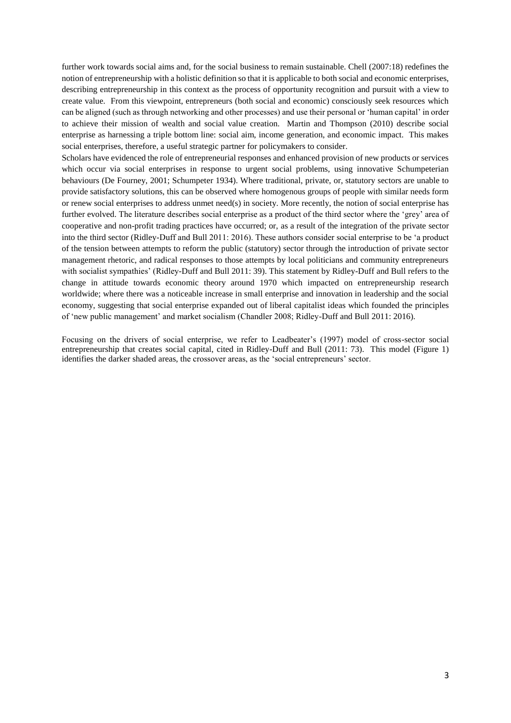further work towards social aims and, for the social business to remain sustainable. Chell (2007:18) redefines the notion of entrepreneurship with a holistic definition so that it is applicable to both social and economic enterprises, describing entrepreneurship in this context as the process of opportunity recognition and pursuit with a view to create value. From this viewpoint, entrepreneurs (both social and economic) consciously seek resources which can be aligned (such as through networking and other processes) and use their personal or 'human capital' in order to achieve their mission of wealth and social value creation. Martin and Thompson (2010) describe social enterprise as harnessing a triple bottom line: social aim, income generation, and economic impact. This makes social enterprises, therefore, a useful strategic partner for policymakers to consider.

Scholars have evidenced the role of entrepreneurial responses and enhanced provision of new products or services which occur via social enterprises in response to urgent social problems, using innovative Schumpeterian behaviours (De Fourney, 2001; Schumpeter 1934). Where traditional, private, or, statutory sectors are unable to provide satisfactory solutions, this can be observed where homogenous groups of people with similar needs form or renew social enterprises to address unmet need(s) in society. More recently, the notion of social enterprise has further evolved. The literature describes social enterprise as a product of the third sector where the 'grey' area of cooperative and non-profit trading practices have occurred; or, as a result of the integration of the private sector into the third sector (Ridley-Duff and Bull 2011: 2016). These authors consider social enterprise to be 'a product of the tension between attempts to reform the public (statutory) sector through the introduction of private sector management rhetoric, and radical responses to those attempts by local politicians and community entrepreneurs with socialist sympathies' (Ridley-Duff and Bull 2011: 39). This statement by Ridley-Duff and Bull refers to the change in attitude towards economic theory around 1970 which impacted on entrepreneurship research worldwide; where there was a noticeable increase in small enterprise and innovation in leadership and the social economy, suggesting that social enterprise expanded out of liberal capitalist ideas which founded the principles of 'new public management' and market socialism (Chandler 2008; Ridley-Duff and Bull 2011: 2016).

Focusing on the drivers of social enterprise, we refer to Leadbeater's (1997) model of cross-sector social entrepreneurship that creates social capital, cited in Ridley-Duff and Bull (2011: 73). This model (Figure 1) identifies the darker shaded areas, the crossover areas, as the 'social entrepreneurs' sector.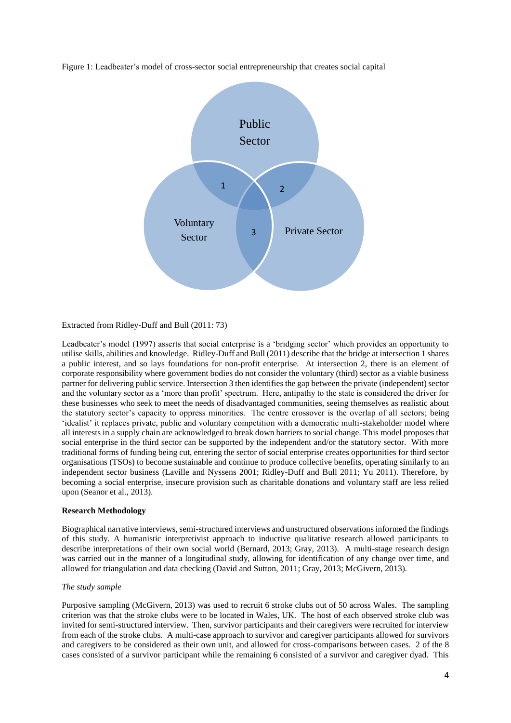

Figure 1: Leadbeater's model of cross-sector social entrepreneurship that creates social capital

Extracted from Ridley-Duff and Bull (2011: 73)

Leadbeater's model (1997) asserts that social enterprise is a 'bridging sector' which provides an opportunity to utilise skills, abilities and knowledge. Ridley-Duff and Bull (2011) describe that the bridge at intersection 1 shares a public interest, and so lays foundations for non-profit enterprise. At intersection 2, there is an element of corporate responsibility where government bodies do not consider the voluntary (third) sector as a viable business partner for delivering public service. Intersection 3 then identifies the gap between the private (independent) sector and the voluntary sector as a 'more than profit' spectrum. Here, antipathy to the state is considered the driver for these businesses who seek to meet the needs of disadvantaged communities, seeing themselves as realistic about the statutory sector's capacity to oppress minorities. The centre crossover is the overlap of all sectors; being 'idealist' it replaces private, public and voluntary competition with a democratic multi-stakeholder model where all interests in a supply chain are acknowledged to break down barriers to social change. This model proposes that social enterprise in the third sector can be supported by the independent and/or the statutory sector. With more traditional forms of funding being cut, entering the sector of social enterprise creates opportunities for third sector organisations (TSOs) to become sustainable and continue to produce collective benefits, operating similarly to an independent sector business (Laville and Nyssens 2001; Ridley-Duff and Bull 2011; Yu 2011). Therefore, by becoming a social enterprise, insecure provision such as charitable donations and voluntary staff are less relied upon (Seanor et al., 2013).

## **Research Methodology**

Biographical narrative interviews, semi-structured interviews and unstructured observations informed the findings of this study. A humanistic interpretivist approach to inductive qualitative research allowed participants to describe interpretations of their own social world (Bernard, 2013; Gray, 2013). A multi-stage research design was carried out in the manner of a longitudinal study, allowing for identification of any change over time, and allowed for triangulation and data checking (David and Sutton, 2011; Gray, 2013; McGivern, 2013).

## *The study sample*

Purposive sampling (McGivern, 2013) was used to recruit 6 stroke clubs out of 50 across Wales. The sampling criterion was that the stroke clubs were to be located in Wales, UK. The host of each observed stroke club was invited for semi-structured interview. Then, survivor participants and their caregivers were recruited for interview from each of the stroke clubs. A multi-case approach to survivor and caregiver participants allowed for survivors and caregivers to be considered as their own unit, and allowed for cross-comparisons between cases. 2 of the 8 cases consisted of a survivor participant while the remaining 6 consisted of a survivor and caregiver dyad. This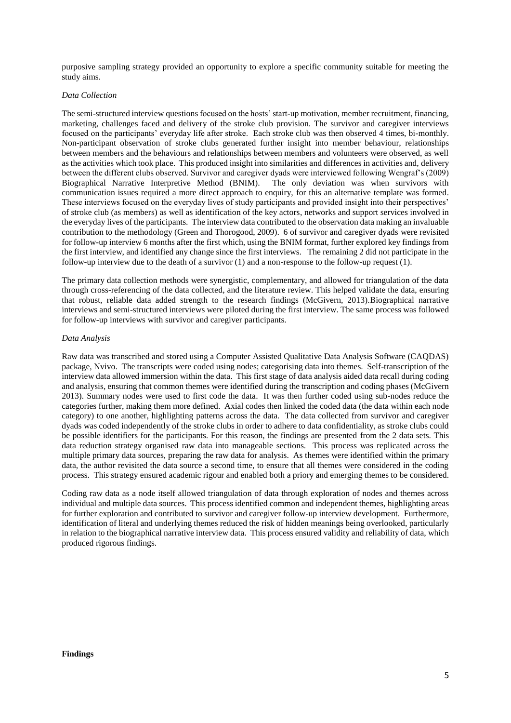purposive sampling strategy provided an opportunity to explore a specific community suitable for meeting the study aims.

#### *Data Collection*

The semi-structured interview questions focused on the hosts' start-up motivation, member recruitment, financing, marketing, challenges faced and delivery of the stroke club provision. The survivor and caregiver interviews focused on the participants' everyday life after stroke. Each stroke club was then observed 4 times, bi-monthly. Non-participant observation of stroke clubs generated further insight into member behaviour, relationships between members and the behaviours and relationships between members and volunteers were observed, as well as the activities which took place. This produced insight into similarities and differences in activities and, delivery between the different clubs observed. Survivor and caregiver dyads were interviewed following Wengraf's (2009) Biographical Narrative Interpretive Method (BNIM). The only deviation was when survivors with communication issues required a more direct approach to enquiry, for this an alternative template was formed. These interviews focused on the everyday lives of study participants and provided insight into their perspectives' of stroke club (as members) as well as identification of the key actors, networks and support services involved in the everyday lives of the participants. The interview data contributed to the observation data making an invaluable contribution to the methodology (Green and Thorogood, 2009). 6 of survivor and caregiver dyads were revisited for follow-up interview 6 months after the first which, using the BNIM format, further explored key findings from the first interview, and identified any change since the first interviews. The remaining 2 did not participate in the follow-up interview due to the death of a survivor (1) and a non-response to the follow-up request (1).

The primary data collection methods were synergistic, complementary, and allowed for triangulation of the data through cross-referencing of the data collected, and the literature review. This helped validate the data, ensuring that robust, reliable data added strength to the research findings (McGivern, 2013).Biographical narrative interviews and semi-structured interviews were piloted during the first interview. The same process was followed for follow-up interviews with survivor and caregiver participants.

#### *Data Analysis*

Raw data was transcribed and stored using a Computer Assisted Qualitative Data Analysis Software (CAQDAS) package, Nvivo. The transcripts were coded using nodes; categorising data into themes. Self-transcription of the interview data allowed immersion within the data. This first stage of data analysis aided data recall during coding and analysis, ensuring that common themes were identified during the transcription and coding phases (McGivern 2013). Summary nodes were used to first code the data. It was then further coded using sub-nodes reduce the categories further, making them more defined. Axial codes then linked the coded data (the data within each node category) to one another, highlighting patterns across the data. The data collected from survivor and caregiver dyads was coded independently of the stroke clubs in order to adhere to data confidentiality, as stroke clubs could be possible identifiers for the participants. For this reason, the findings are presented from the 2 data sets. This data reduction strategy organised raw data into manageable sections. This process was replicated across the multiple primary data sources, preparing the raw data for analysis. As themes were identified within the primary data, the author revisited the data source a second time, to ensure that all themes were considered in the coding process. This strategy ensured academic rigour and enabled both a priory and emerging themes to be considered.

Coding raw data as a node itself allowed triangulation of data through exploration of nodes and themes across individual and multiple data sources. This process identified common and independent themes, highlighting areas for further exploration and contributed to survivor and caregiver follow-up interview development. Furthermore, identification of literal and underlying themes reduced the risk of hidden meanings being overlooked, particularly in relation to the biographical narrative interview data. This process ensured validity and reliability of data, which produced rigorous findings.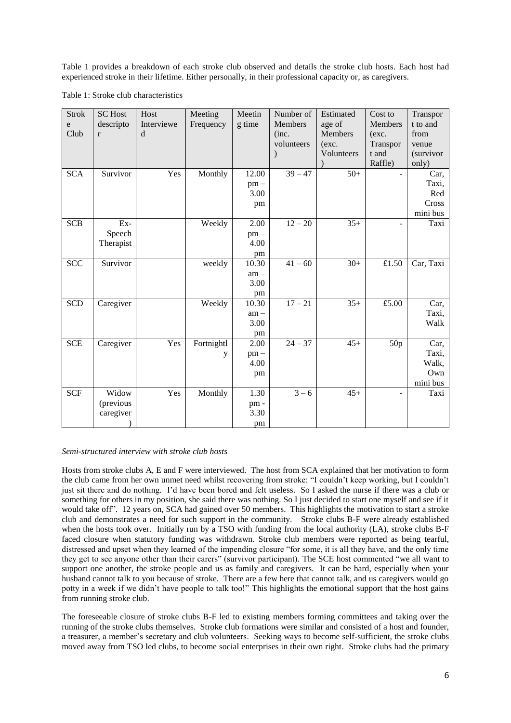Table 1 provides a breakdown of each stroke club observed and details the stroke club hosts. Each host had experienced stroke in their lifetime. Either personally, in their professional capacity or, as caregivers.

| Table 1: Stroke club characteristics |  |
|--------------------------------------|--|
|--------------------------------------|--|

| <b>Strok</b> | <b>SC</b> Host | Host       | Meeting    | Meetin | Number of  | Estimated  | Cost to  | Transpor  |
|--------------|----------------|------------|------------|--------|------------|------------|----------|-----------|
| e            | descripto      | Interviewe | Frequency  | g time | Members    | age of     | Members  | t to and  |
| Club         | $\mathbf{r}$   | d          |            |        | (inc.      | Members    | (exc.    | from      |
|              |                |            |            |        | volunteers | (exc.      | Transpor | venue     |
|              |                |            |            |        |            | Volunteers | t and    | (survivor |
|              |                |            |            |        |            |            | Raffle)  | only)     |
| <b>SCA</b>   | Survivor       | Yes        | Monthly    | 12.00  | $39 - 47$  | $50+$      |          | Car,      |
|              |                |            |            | $pm -$ |            |            |          | Taxi,     |
|              |                |            |            | 3.00   |            |            |          | Red       |
|              |                |            |            | pm     |            |            |          | Cross     |
|              |                |            |            |        |            |            |          | mini bus  |
| <b>SCB</b>   | Ex-            |            | Weekly     | 2.00   | $12 - 20$  | $35+$      |          | Taxi      |
|              | Speech         |            |            | $pm -$ |            |            |          |           |
|              | Therapist      |            |            | 4.00   |            |            |          |           |
|              |                |            |            | pm     |            |            |          |           |
| <b>SCC</b>   | Survivor       |            | weekly     | 10.30  | $41 - 60$  | $30+$      | £1.50    | Car, Taxi |
|              |                |            |            | $am -$ |            |            |          |           |
|              |                |            |            | 3.00   |            |            |          |           |
|              |                |            |            | pm     |            |            |          |           |
| <b>SCD</b>   | Caregiver      |            | Weekly     | 10.30  | $17 - 21$  | $35+$      | £5.00    | Car,      |
|              |                |            |            | $am -$ |            |            |          | Taxi,     |
|              |                |            |            | 3.00   |            |            |          | Walk      |
|              |                |            |            | pm     |            |            |          |           |
| <b>SCE</b>   | Caregiver      | Yes        | Fortnightl | 2.00   | $24 - 37$  | $45+$      | 50p      | Car,      |
|              |                |            | y          | $pm -$ |            |            |          | Taxi,     |
|              |                |            |            | 4.00   |            |            |          | Walk,     |
|              |                |            |            | pm     |            |            |          | Own       |
|              |                |            |            |        |            |            |          | mini bus  |
| <b>SCF</b>   | Widow          | Yes        | Monthly    | 1.30   | $3 - 6$    | $45+$      |          | Taxi      |
|              | (previous      |            |            | pm-    |            |            |          |           |
|              | caregiver      |            |            | 3.30   |            |            |          |           |
|              |                |            |            | pm     |            |            |          |           |

# *Semi-structured interview with stroke club hosts*

Hosts from stroke clubs A, E and F were interviewed. The host from SCA explained that her motivation to form the club came from her own unmet need whilst recovering from stroke: "I couldn't keep working, but I couldn't just sit there and do nothing. I'd have been bored and felt useless. So I asked the nurse if there was a club or something for others in my position, she said there was nothing. So I just decided to start one myself and see if it would take off". 12 years on, SCA had gained over 50 members. This highlights the motivation to start a stroke club and demonstrates a need for such support in the community. Stroke clubs B-F were already established when the hosts took over. Initially run by a TSO with funding from the local authority (LA), stroke clubs B-F faced closure when statutory funding was withdrawn. Stroke club members were reported as being tearful, distressed and upset when they learned of the impending closure "for some, it is all they have, and the only time they get to see anyone other than their carers" (survivor participant). The SCE host commented "we all want to support one another, the stroke people and us as family and caregivers. It can be hard, especially when your husband cannot talk to you because of stroke. There are a few here that cannot talk, and us caregivers would go potty in a week if we didn't have people to talk too!" This highlights the emotional support that the host gains from running stroke club.

The foreseeable closure of stroke clubs B-F led to existing members forming committees and taking over the running of the stroke clubs themselves. Stroke club formations were similar and consisted of a host and founder, a treasurer, a member's secretary and club volunteers. Seeking ways to become self-sufficient, the stroke clubs moved away from TSO led clubs, to become social enterprises in their own right. Stroke clubs had the primary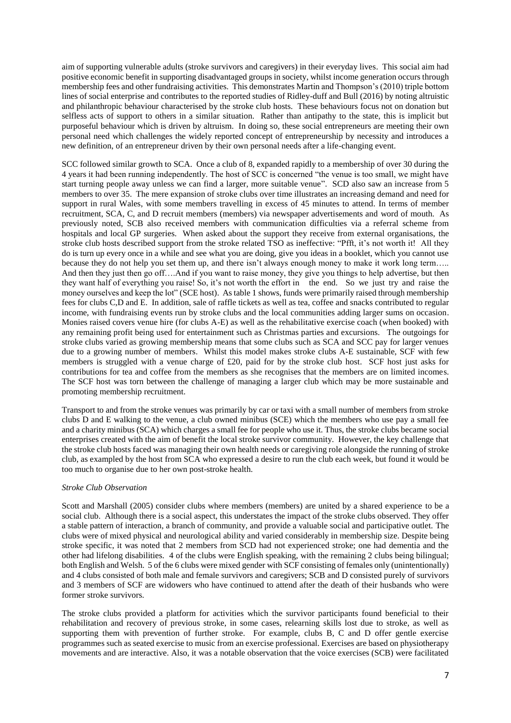aim of supporting vulnerable adults (stroke survivors and caregivers) in their everyday lives. This social aim had positive economic benefit in supporting disadvantaged groups in society, whilst income generation occurs through membership fees and other fundraising activities. This demonstrates Martin and Thompson's (2010) triple bottom lines of social enterprise and contributes to the reported studies of Ridley-duff and Bull (2016) by noting altruistic and philanthropic behaviour characterised by the stroke club hosts. These behaviours focus not on donation but selfless acts of support to others in a similar situation. Rather than antipathy to the state, this is implicit but purposeful behaviour which is driven by altruism. In doing so, these social entrepreneurs are meeting their own personal need which challenges the widely reported concept of entrepreneurship by necessity and introduces a new definition, of an entrepreneur driven by their own personal needs after a life-changing event.

SCC followed similar growth to SCA. Once a club of 8, expanded rapidly to a membership of over 30 during the 4 years it had been running independently. The host of SCC is concerned "the venue is too small, we might have start turning people away unless we can find a larger, more suitable venue". SCD also saw an increase from 5 members to over 35. The mere expansion of stroke clubs over time illustrates an increasing demand and need for support in rural Wales, with some members travelling in excess of 45 minutes to attend. In terms of member recruitment, SCA, C, and D recruit members (members) via newspaper advertisements and word of mouth. As previously noted, SCB also received members with communication difficulties via a referral scheme from hospitals and local GP surgeries. When asked about the support they receive from external organisations, the stroke club hosts described support from the stroke related TSO as ineffective: "Pfft, it's not worth it! All they do is turn up every once in a while and see what you are doing, give you ideas in a booklet, which you cannot use because they do not help you set them up, and there isn't always enough money to make it work long term….. And then they just then go off….And if you want to raise money, they give you things to help advertise, but then they want half of everything you raise! So, it's not worth the effort in the end. So we just try and raise the money ourselves and keep the lot" (SCE host). As table 1 shows, funds were primarily raised through membership fees for clubs C,D and E. In addition, sale of raffle tickets as well as tea, coffee and snacks contributed to regular income, with fundraising events run by stroke clubs and the local communities adding larger sums on occasion. Monies raised covers venue hire (for clubs A-E) as well as the rehabilitative exercise coach (when booked) with any remaining profit being used for entertainment such as Christmas parties and excursions. The outgoings for stroke clubs varied as growing membership means that some clubs such as SCA and SCC pay for larger venues due to a growing number of members. Whilst this model makes stroke clubs A-E sustainable, SCF with few members is struggled with a venue charge of £20, paid for by the stroke club host. SCF host just asks for contributions for tea and coffee from the members as she recognises that the members are on limited incomes. The SCF host was torn between the challenge of managing a larger club which may be more sustainable and promoting membership recruitment.

Transport to and from the stroke venues was primarily by car or taxi with a small number of members from stroke clubs D and E walking to the venue, a club owned minibus (SCE) which the members who use pay a small fee and a charity minibus (SCA) which charges a small fee for people who use it. Thus, the stroke clubs became social enterprises created with the aim of benefit the local stroke survivor community. However, the key challenge that the stroke club hosts faced was managing their own health needs or caregiving role alongside the running of stroke club, as exampled by the host from SCA who expressed a desire to run the club each week, but found it would be too much to organise due to her own post-stroke health.

#### *Stroke Club Observation*

Scott and Marshall (2005) consider clubs where members (members) are united by a shared experience to be a social club. Although there is a social aspect, this understates the impact of the stroke clubs observed. They offer a stable pattern of interaction, a branch of community, and provide a valuable social and participative outlet. The clubs were of mixed physical and neurological ability and varied considerably in membership size. Despite being stroke specific, it was noted that 2 members from SCD had not experienced stroke; one had dementia and the other had lifelong disabilities. 4 of the clubs were English speaking, with the remaining 2 clubs being bilingual; both English and Welsh. 5 of the 6 clubs were mixed gender with SCF consisting of females only (unintentionally) and 4 clubs consisted of both male and female survivors and caregivers; SCB and D consisted purely of survivors and 3 members of SCF are widowers who have continued to attend after the death of their husbands who were former stroke survivors.

The stroke clubs provided a platform for activities which the survivor participants found beneficial to their rehabilitation and recovery of previous stroke, in some cases, relearning skills lost due to stroke, as well as supporting them with prevention of further stroke. For example, clubs B, C and D offer gentle exercise programmes such as seated exercise to music from an exercise professional. Exercises are based on physiotherapy movements and are interactive. Also, it was a notable observation that the voice exercises (SCB) were facilitated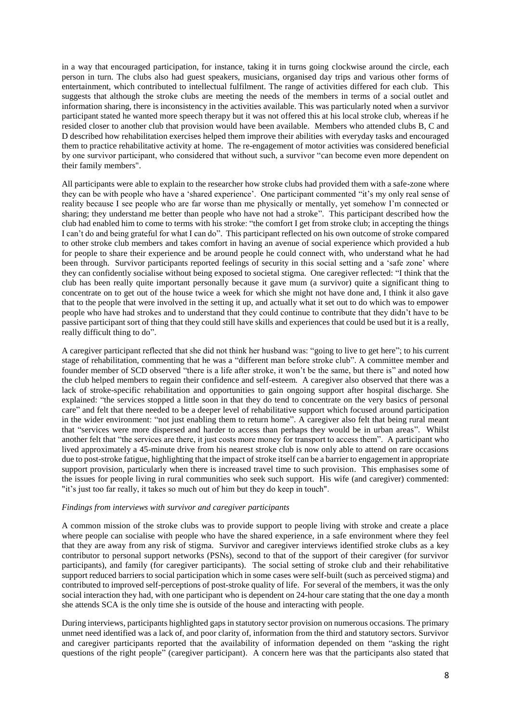in a way that encouraged participation, for instance, taking it in turns going clockwise around the circle, each person in turn. The clubs also had guest speakers, musicians, organised day trips and various other forms of entertainment, which contributed to intellectual fulfilment. The range of activities differed for each club. This suggests that although the stroke clubs are meeting the needs of the members in terms of a social outlet and information sharing, there is inconsistency in the activities available. This was particularly noted when a survivor participant stated he wanted more speech therapy but it was not offered this at his local stroke club, whereas if he resided closer to another club that provision would have been available. Members who attended clubs B, C and D described how rehabilitation exercises helped them improve their abilities with everyday tasks and encouraged them to practice rehabilitative activity at home. The re-engagement of motor activities was considered beneficial by one survivor participant, who considered that without such, a survivor "can become even more dependent on their family members".

All participants were able to explain to the researcher how stroke clubs had provided them with a safe-zone where they can be with people who have a 'shared experience'. One participant commented "it's my only real sense of reality because I see people who are far worse than me physically or mentally, yet somehow I'm connected or sharing; they understand me better than people who have not had a stroke". This participant described how the club had enabled him to come to terms with his stroke: "the comfort I get from stroke club; in accepting the things I can't do and being grateful for what I can do". This participant reflected on his own outcome of stroke compared to other stroke club members and takes comfort in having an avenue of social experience which provided a hub for people to share their experience and be around people he could connect with, who understand what he had been through. Survivor participants reported feelings of security in this social setting and a 'safe zone' where they can confidently socialise without being exposed to societal stigma. One caregiver reflected: "I think that the club has been really quite important personally because it gave mum (a survivor) quite a significant thing to concentrate on to get out of the house twice a week for which she might not have done and, I think it also gave that to the people that were involved in the setting it up, and actually what it set out to do which was to empower people who have had strokes and to understand that they could continue to contribute that they didn't have to be passive participant sort of thing that they could still have skills and experiences that could be used but it is a really, really difficult thing to do".

A caregiver participant reflected that she did not think her husband was: "going to live to get here"; to his current stage of rehabilitation, commenting that he was a "different man before stroke club". A committee member and founder member of SCD observed "there is a life after stroke, it won't be the same, but there is" and noted how the club helped members to regain their confidence and self-esteem. A caregiver also observed that there was a lack of stroke-specific rehabilitation and opportunities to gain ongoing support after hospital discharge. She explained: "the services stopped a little soon in that they do tend to concentrate on the very basics of personal care" and felt that there needed to be a deeper level of rehabilitative support which focused around participation in the wider environment: "not just enabling them to return home". A caregiver also felt that being rural meant that "services were more dispersed and harder to access than perhaps they would be in urban areas". Whilst another felt that "the services are there, it just costs more money for transport to access them". A participant who lived approximately a 45-minute drive from his nearest stroke club is now only able to attend on rare occasions due to post-stroke fatigue, highlighting that the impact of stroke itself can be a barrier to engagement in appropriate support provision, particularly when there is increased travel time to such provision. This emphasises some of the issues for people living in rural communities who seek such support. His wife (and caregiver) commented: "it's just too far really, it takes so much out of him but they do keep in touch".

#### *Findings from interviews with survivor and caregiver participants*

A common mission of the stroke clubs was to provide support to people living with stroke and create a place where people can socialise with people who have the shared experience, in a safe environment where they feel that they are away from any risk of stigma. Survivor and caregiver interviews identified stroke clubs as a key contributor to personal support networks (PSNs), second to that of the support of their caregiver (for survivor participants), and family (for caregiver participants). The social setting of stroke club and their rehabilitative support reduced barriers to social participation which in some cases were self-built (such as perceived stigma) and contributed to improved self-perceptions of post-stroke quality of life. For several of the members, it was the only social interaction they had, with one participant who is dependent on 24-hour care stating that the one day a month she attends SCA is the only time she is outside of the house and interacting with people.

During interviews, participants highlighted gaps in statutory sector provision on numerous occasions. The primary unmet need identified was a lack of, and poor clarity of, information from the third and statutory sectors. Survivor and caregiver participants reported that the availability of information depended on them "asking the right questions of the right people" (caregiver participant). A concern here was that the participants also stated that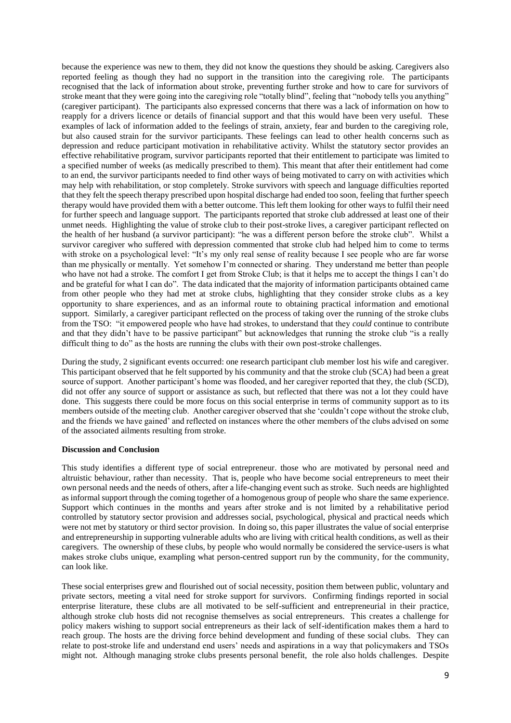because the experience was new to them, they did not know the questions they should be asking. Caregivers also reported feeling as though they had no support in the transition into the caregiving role. The participants recognised that the lack of information about stroke, preventing further stroke and how to care for survivors of stroke meant that they were going into the caregiving role "totally blind", feeling that "nobody tells you anything" (caregiver participant). The participants also expressed concerns that there was a lack of information on how to reapply for a drivers licence or details of financial support and that this would have been very useful. These examples of lack of information added to the feelings of strain, anxiety, fear and burden to the caregiving role, but also caused strain for the survivor participants. These feelings can lead to other health concerns such as depression and reduce participant motivation in rehabilitative activity. Whilst the statutory sector provides an effective rehabilitative program, survivor participants reported that their entitlement to participate was limited to a specified number of weeks (as medically prescribed to them). This meant that after their entitlement had come to an end, the survivor participants needed to find other ways of being motivated to carry on with activities which may help with rehabilitation, or stop completely. Stroke survivors with speech and language difficulties reported that they felt the speech therapy prescribed upon hospital discharge had ended too soon, feeling that further speech therapy would have provided them with a better outcome. This left them looking for other ways to fulfil their need for further speech and language support. The participants reported that stroke club addressed at least one of their unmet needs. Highlighting the value of stroke club to their post-stroke lives, a caregiver participant reflected on the health of her husband (a survivor participant): "he was a different person before the stroke club". Whilst a survivor caregiver who suffered with depression commented that stroke club had helped him to come to terms with stroke on a psychological level: "It's my only real sense of reality because I see people who are far worse than me physically or mentally. Yet somehow I'm connected or sharing. They understand me better than people who have not had a stroke. The comfort I get from Stroke Club; is that it helps me to accept the things I can't do and be grateful for what I can do". The data indicated that the majority of information participants obtained came from other people who they had met at stroke clubs, highlighting that they consider stroke clubs as a key opportunity to share experiences, and as an informal route to obtaining practical information and emotional support. Similarly, a caregiver participant reflected on the process of taking over the running of the stroke clubs from the TSO: "it empowered people who have had strokes, to understand that they *could* continue to contribute and that they didn't have to be passive participant" but acknowledges that running the stroke club "is a really difficult thing to do" as the hosts are running the clubs with their own post-stroke challenges.

During the study, 2 significant events occurred: one research participant club member lost his wife and caregiver. This participant observed that he felt supported by his community and that the stroke club (SCA) had been a great source of support. Another participant's home was flooded, and her caregiver reported that they, the club (SCD), did not offer any source of support or assistance as such, but reflected that there was not a lot they could have done. This suggests there could be more focus on this social enterprise in terms of community support as to its members outside of the meeting club. Another caregiver observed that she 'couldn't cope without the stroke club, and the friends we have gained' and reflected on instances where the other members of the clubs advised on some of the associated ailments resulting from stroke.

#### **Discussion and Conclusion**

This study identifies a different type of social entrepreneur. those who are motivated by personal need and altruistic behaviour, rather than necessity. That is, people who have become social entrepreneurs to meet their own personal needs and the needs of others, after a life-changing event such as stroke. Such needs are highlighted as informal support through the coming together of a homogenous group of people who share the same experience. Support which continues in the months and years after stroke and is not limited by a rehabilitative period controlled by statutory sector provision and addresses social, psychological, physical and practical needs which were not met by statutory or third sector provision. In doing so, this paper illustrates the value of social enterprise and entrepreneurship in supporting vulnerable adults who are living with critical health conditions, as well as their caregivers. The ownership of these clubs, by people who would normally be considered the service-users is what makes stroke clubs unique, exampling what person-centred support run by the community, for the community, can look like.

These social enterprises grew and flourished out of social necessity, position them between public, voluntary and private sectors, meeting a vital need for stroke support for survivors. Confirming findings reported in social enterprise literature, these clubs are all motivated to be self-sufficient and entrepreneurial in their practice, although stroke club hosts did not recognise themselves as social entrepreneurs. This creates a challenge for policy makers wishing to support social entrepreneurs as their lack of self-identification makes them a hard to reach group. The hosts are the driving force behind development and funding of these social clubs. They can relate to post-stroke life and understand end users' needs and aspirations in a way that policymakers and TSOs might not. Although managing stroke clubs presents personal benefit, the role also holds challenges. Despite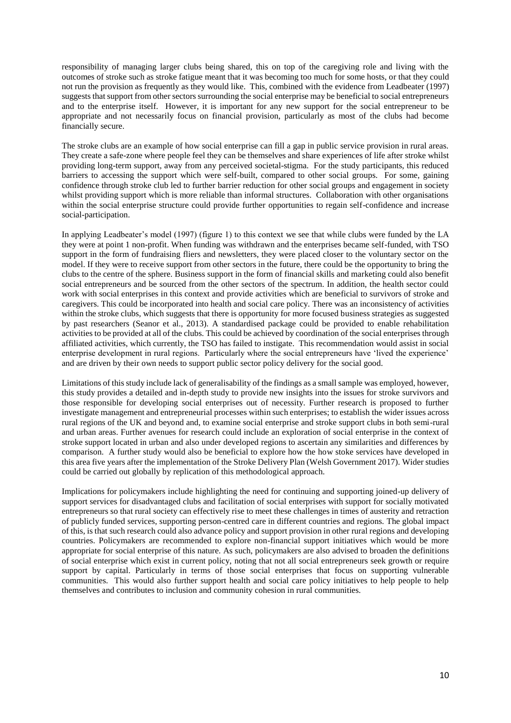responsibility of managing larger clubs being shared, this on top of the caregiving role and living with the outcomes of stroke such as stroke fatigue meant that it was becoming too much for some hosts, or that they could not run the provision as frequently as they would like. This, combined with the evidence from Leadbeater (1997) suggests that support from other sectors surrounding the social enterprise may be beneficial to social entrepreneurs and to the enterprise itself. However, it is important for any new support for the social entrepreneur to be appropriate and not necessarily focus on financial provision, particularly as most of the clubs had become financially secure.

The stroke clubs are an example of how social enterprise can fill a gap in public service provision in rural areas. They create a safe-zone where people feel they can be themselves and share experiences of life after stroke whilst providing long-term support, away from any perceived societal-stigma. For the study participants, this reduced barriers to accessing the support which were self-built, compared to other social groups. For some, gaining confidence through stroke club led to further barrier reduction for other social groups and engagement in society whilst providing support which is more reliable than informal structures. Collaboration with other organisations within the social enterprise structure could provide further opportunities to regain self-confidence and increase social-participation.

In applying Leadbeater's model (1997) (figure 1) to this context we see that while clubs were funded by the LA they were at point 1 non-profit. When funding was withdrawn and the enterprises became self-funded, with TSO support in the form of fundraising fliers and newsletters, they were placed closer to the voluntary sector on the model. If they were to receive support from other sectors in the future, there could be the opportunity to bring the clubs to the centre of the sphere. Business support in the form of financial skills and marketing could also benefit social entrepreneurs and be sourced from the other sectors of the spectrum. In addition, the health sector could work with social enterprises in this context and provide activities which are beneficial to survivors of stroke and caregivers. This could be incorporated into health and social care policy. There was an inconsistency of activities within the stroke clubs, which suggests that there is opportunity for more focused business strategies as suggested by past researchers (Seanor et al., 2013). A standardised package could be provided to enable rehabilitation activities to be provided at all of the clubs. This could be achieved by coordination of the social enterprises through affiliated activities, which currently, the TSO has failed to instigate. This recommendation would assist in social enterprise development in rural regions. Particularly where the social entrepreneurs have 'lived the experience' and are driven by their own needs to support public sector policy delivery for the social good.

Limitations of this study include lack of generalisability of the findings as a small sample was employed, however, this study provides a detailed and in-depth study to provide new insights into the issues for stroke survivors and those responsible for developing social enterprises out of necessity. Further research is proposed to further investigate management and entrepreneurial processes within such enterprises; to establish the wider issues across rural regions of the UK and beyond and, to examine social enterprise and stroke support clubs in both semi-rural and urban areas. Further avenues for research could include an exploration of social enterprise in the context of stroke support located in urban and also under developed regions to ascertain any similarities and differences by comparison. A further study would also be beneficial to explore how the how stoke services have developed in this area five years after the implementation of the Stroke Delivery Plan (Welsh Government 2017). Wider studies could be carried out globally by replication of this methodological approach.

Implications for policymakers include highlighting the need for continuing and supporting joined-up delivery of support services for disadvantaged clubs and facilitation of social enterprises with support for socially motivated entrepreneurs so that rural society can effectively rise to meet these challenges in times of austerity and retraction of publicly funded services, supporting person-centred care in different countries and regions. The global impact of this, is that such research could also advance policy and support provision in other rural regions and developing countries. Policymakers are recommended to explore non-financial support initiatives which would be more appropriate for social enterprise of this nature. As such, policymakers are also advised to broaden the definitions of social enterprise which exist in current policy, noting that not all social entrepreneurs seek growth or require support by capital. Particularly in terms of those social enterprises that focus on supporting vulnerable communities. This would also further support health and social care policy initiatives to help people to help themselves and contributes to inclusion and community cohesion in rural communities.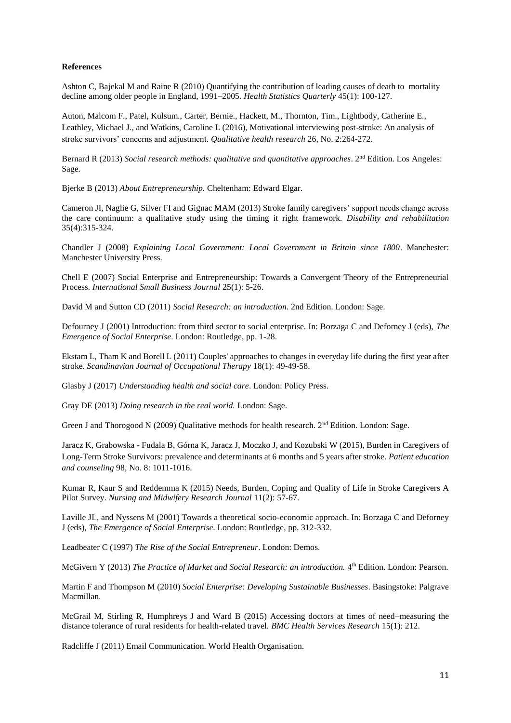## **References**

Ashton C, Bajekal M and Raine R (2010) Quantifying the contribution of leading causes of death to mortality decline among older people in England, 1991–2005. *Health Statistics Quarterly* 45(1): 100-127.

Auton, Malcom F., Patel, Kulsum., Carter, Bernie., Hackett, M., Thornton, Tim., Lightbody, Catherine E., Leathley, Michael J., and Watkins, Caroline L (2016), Motivational interviewing post-stroke: An analysis of stroke survivors' concerns and adjustment. *Qualitative health research* 26, No. 2:264-272.

Bernard R (2013) *Social research methods: qualitative and quantitative approaches*. 2nd Edition. Los Angeles: Sage.

Bjerke B (2013) *About Entrepreneurship.* Cheltenham: Edward Elgar.

Cameron JI, Naglie G, Silver FI and Gignac MAM (2013) Stroke family caregivers' support needs change across the care continuum: a qualitative study using the timing it right framework. *Disability and rehabilitation* 35(4):315-324.

Chandler J (2008) *Explaining Local Government: Local Government in Britain since 1800*. Manchester: Manchester University Press.

Chell E (2007) Social Enterprise and Entrepreneurship: Towards a Convergent Theory of the Entrepreneurial Process. *International Small Business Journal* 25(1): 5-26.

David M and Sutton CD (2011) *Social Research: an introduction*. 2nd Edition. London: Sage.

Defourney J (2001) Introduction: from third sector to social enterprise. In: Borzaga C and Deforney J (eds), *The Emergence of Social Enterprise*. London: Routledge, pp. 1-28.

Ekstam L, Tham K and Borell L (2011) Couples' approaches to changes in everyday life during the first year after stroke. *Scandinavian Journal of Occupational Therapy* 18(1): 49-49-58.

Glasby J (2017) *Understanding health and social care*. London: Policy Press.

Gray DE (2013) *Doing research in the real world.* London: Sage.

Green J and Thorogood N (2009) Qualitative methods for health research. 2<sup>nd</sup> Edition. London: Sage.

Jaracz K, Grabowska - Fudala B, Górna K, Jaracz J, Moczko J, and Kozubski W (2015), Burden in Caregivers of Long-Term Stroke Survivors: prevalence and determinants at 6 months and 5 years after stroke. *Patient education and counseling* 98, No. 8: 1011-1016.

Kumar R, Kaur S and Reddemma K (2015) Needs, Burden, Coping and Quality of Life in Stroke Caregivers A Pilot Survey. *Nursing and Midwifery Research Journal* 11(2): 57-67.

Laville JL, and Nyssens M (2001) Towards a theoretical socio-economic approach. In: Borzaga C and Deforney J (eds), *The Emergence of Social Enterprise*. London: Routledge, pp. 312-332.

Leadbeater C (1997) *The Rise of the Social Entrepreneur*. London: Demos.

McGivern Y (2013) The Practice of Market and Social Research: an introduction. 4<sup>th</sup> Edition. London: Pearson.

Martin F and Thompson M (2010) *Social Enterprise: Developing Sustainable Businesses*. Basingstoke: Palgrave Macmillan.

McGrail M, Stirling R, Humphreys J and Ward B (2015) Accessing doctors at times of need–measuring the distance tolerance of rural residents for health-related travel. *BMC Health Services Research* 15(1): 212.

Radcliffe J (2011) Email Communication. World Health Organisation.